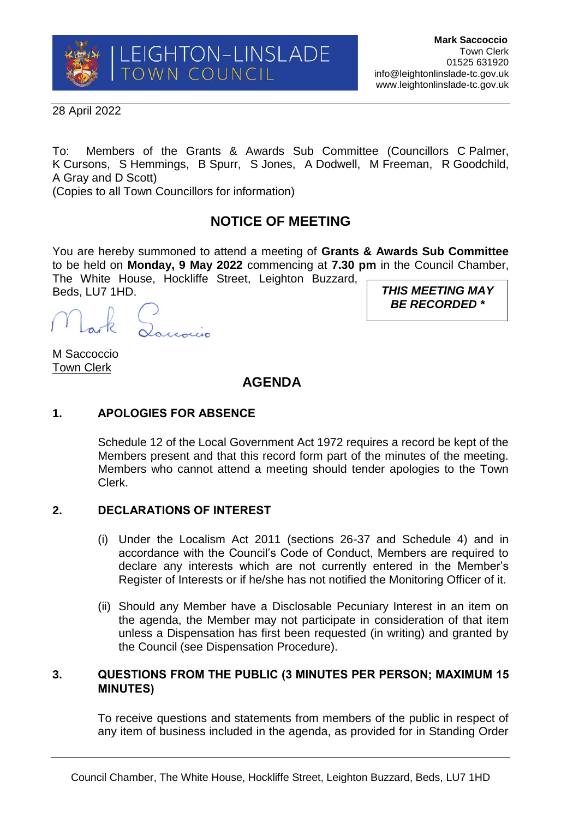28 April 2022

To: Members of the Grants & Awards Sub Committee (Councillors C Palmer, K Cursons, S Hemmings, B Spurr, S Jones, A Dodwell, M Freeman, R Goodchild, A Gray and D Scott)

(Copies to all Town Councillors for information)

# **NOTICE OF MEETING**

You are hereby summoned to attend a meeting of **Grants & Awards Sub Committee** to be held on **Monday, 9 May 2022** commencing at **7.30 pm** in the Council Chamber, The White House, Hockliffe Street, Leighton Buzzard,

Beds, LU7 1HD.

*THIS MEETING MAY BE RECORDED \**

M Saccoccio Town Clerk

## **AGENDA**

## **1. APOLOGIES FOR ABSENCE**

Schedule 12 of the Local Government Act 1972 requires a record be kept of the Members present and that this record form part of the minutes of the meeting. Members who cannot attend a meeting should tender apologies to the Town Clerk.

### **2. DECLARATIONS OF INTEREST**

- (i) Under the Localism Act 2011 (sections 26-37 and Schedule 4) and in accordance with the Council's Code of Conduct, Members are required to declare any interests which are not currently entered in the Member's Register of Interests or if he/she has not notified the Monitoring Officer of it.
- (ii) Should any Member have a Disclosable Pecuniary Interest in an item on the agenda, the Member may not participate in consideration of that item unless a Dispensation has first been requested (in writing) and granted by the Council (see Dispensation Procedure).

### **3. QUESTIONS FROM THE PUBLIC (3 MINUTES PER PERSON; MAXIMUM 15 MINUTES)**

To receive questions and statements from members of the public in respect of any item of business included in the agenda, as provided for in Standing Order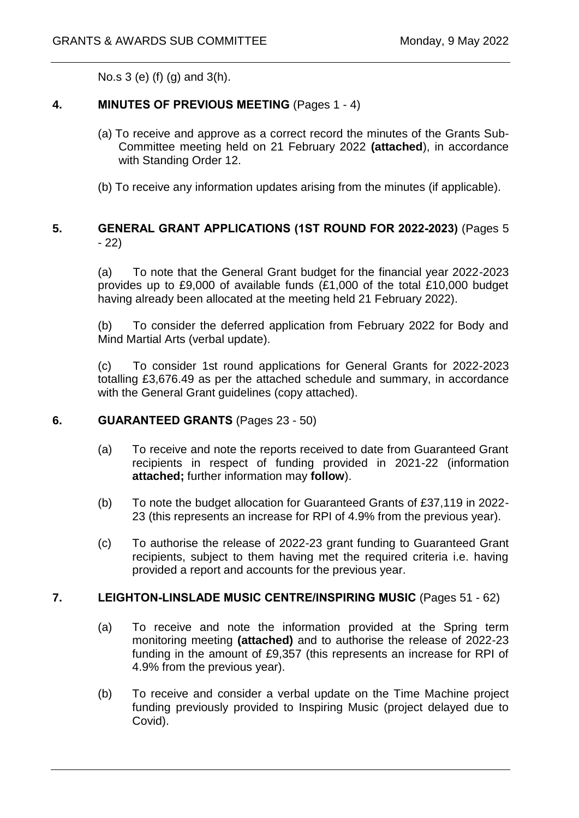No.s 3 (e) (f) (g) and 3(h).

### **4. MINUTES OF PREVIOUS MEETING** (Pages 1 - 4)

- (a) To receive and approve as a correct record the minutes of the Grants Sub-Committee meeting held on 21 February 2022 **(attached**), in accordance with Standing Order 12.
- (b) To receive any information updates arising from the minutes (if applicable).

### **5. GENERAL GRANT APPLICATIONS (1ST ROUND FOR 2022-2023)** (Pages 5 - 22)

(a) To note that the General Grant budget for the financial year 2022-2023 provides up to £9,000 of available funds (£1,000 of the total £10,000 budget having already been allocated at the meeting held 21 February 2022).

(b) To consider the deferred application from February 2022 for Body and Mind Martial Arts (verbal update).

(c) To consider 1st round applications for General Grants for 2022-2023 totalling £3,676.49 as per the attached schedule and summary, in accordance with the General Grant guidelines (copy attached).

#### **6. GUARANTEED GRANTS** (Pages 23 - 50)

- (a) To receive and note the reports received to date from Guaranteed Grant recipients in respect of funding provided in 2021-22 (information **attached;** further information may **follow**).
- (b) To note the budget allocation for Guaranteed Grants of £37,119 in 2022- 23 (this represents an increase for RPI of 4.9% from the previous year).
- (c) To authorise the release of 2022-23 grant funding to Guaranteed Grant recipients, subject to them having met the required criteria i.e. having provided a report and accounts for the previous year.

#### **7. LEIGHTON-LINSLADE MUSIC CENTRE/INSPIRING MUSIC** (Pages 51 - 62)

- (a) To receive and note the information provided at the Spring term monitoring meeting **(attached)** and to authorise the release of 2022-23 funding in the amount of £9,357 (this represents an increase for RPI of 4.9% from the previous year).
- (b) To receive and consider a verbal update on the Time Machine project funding previously provided to Inspiring Music (project delayed due to Covid).